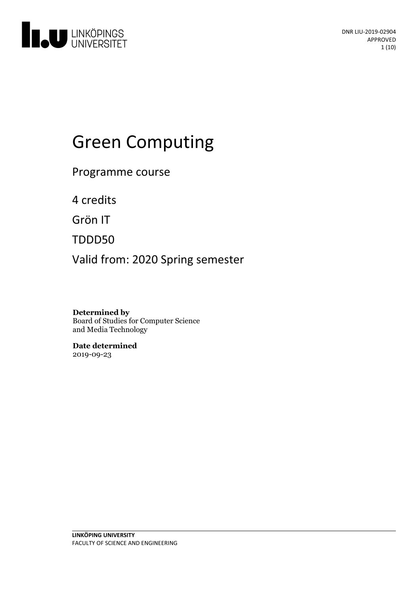

# Green Computing

Programme course

4 credits

Grön IT

TDDD50

Valid from: 2020 Spring semester

**Determined by** Board of Studies for Computer Science and Media Technology

**Date determined** 2019-09-23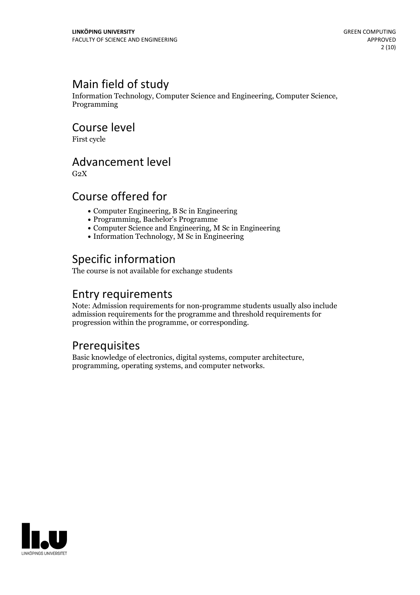# Main field of study

Information Technology, Computer Science and Engineering, Computer Science, Programming

Course level

First cycle

## Advancement level

 $G<sub>2</sub>X$ 

# Course offered for

- Computer Engineering, B Sc in Engineering
- Programming, Bachelor's Programme
- Computer Science and Engineering, M Sc in Engineering
- Information Technology, M Sc in Engineering

# Specific information

The course is not available for exchange students

# Entry requirements

Note: Admission requirements for non-programme students usually also include admission requirements for the programme and threshold requirements for progression within the programme, or corresponding.

## **Prerequisites**

Basic knowledge of electronics, digital systems, computer architecture, programming, operating systems, and computer networks.

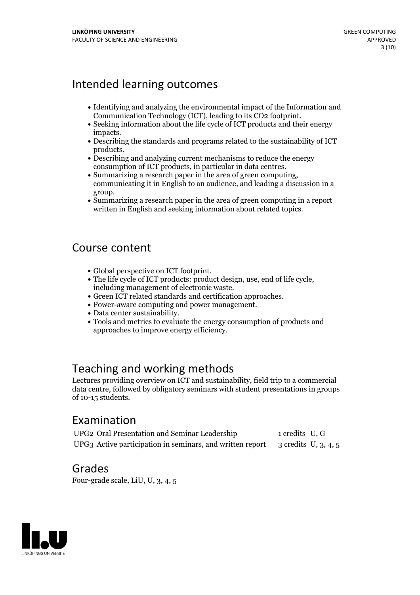# Intended learning outcomes

- Identifying and analyzing the environmental impact of the Information and
- Communication Technology (ICT), leading to its CO2 footprint.<br>• Seeking information about the life cycle of ICT products and their energy
- impacts.<br>• Describing the standards and programs related to the sustainability of ICT
- products.<br>• Describing and analyzing current mechanisms to reduce the energy
- consumption of ICT products, in particular in data centres.<br>• Summarizing a research paper in the area of green computing, communicating it in English to an audience, and leading a discussion in a
- group. Summarizing <sup>a</sup> research paper in the area of green computing in <sup>a</sup> report written in English and seeking information about related topics.

## Course content

- 
- Global perspective on ICT footprint.<br>
 The life cycle of ICT products: product design, use, end of life cycle,<br>
including management of electronic waste.<br>
 Green ICT related standards and certification approaches.<br>
•
- 
- 
- 
- approaches to improve energy efficiency.

## Teaching and working methods

Lectures providing overview on ICT and sustainability, field trip to a commercial data centre, followed by obligatory seminars with student presentations in groups of 10-15 students.

## Examination

UPG2 Oral Presentation and Seminar Leadership 1 credits U, G UPG3 Active participation in seminars, and written report 3 credits U, 3, 4, 5

### Grades

Four-grade scale, LiU, U, 3, 4, 5

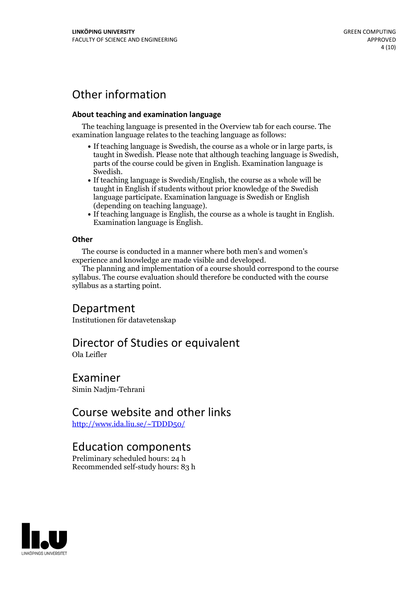# Other information

#### **About teaching and examination language**

The teaching language is presented in the Overview tab for each course. The examination language relates to the teaching language as follows:

- If teaching language is Swedish, the course as a whole or in large parts, is taught in Swedish. Please note that although teaching language is Swedish, parts of the course could be given in English. Examination language is
- Swedish.<br>• If teaching language is Swedish/English, the course as a whole will be taught in English if students without prior knowledge of the Swedish language participate. Examination language is Swedish or English
- (depending on teaching language).<br>• If teaching language is English, the course as a whole is taught in English.<br>Examination language is English.

#### **Other**

The course is conducted in a manner where both men's and women's experience and knowledge are made visible and developed.

The planning and implementation of a course should correspond to the course syllabus. The course evaluation should therefore be conducted with the course syllabus as a starting point.

### Department

Institutionen för datavetenskap

# Director of Studies or equivalent

Ola Leifler

Examiner Simin Nadjm-Tehrani

### Course website and other links

<http://www.ida.liu.se/~TDDD50/>

### Education components

Preliminary scheduled hours: 24 h Recommended self-study hours: 83 h

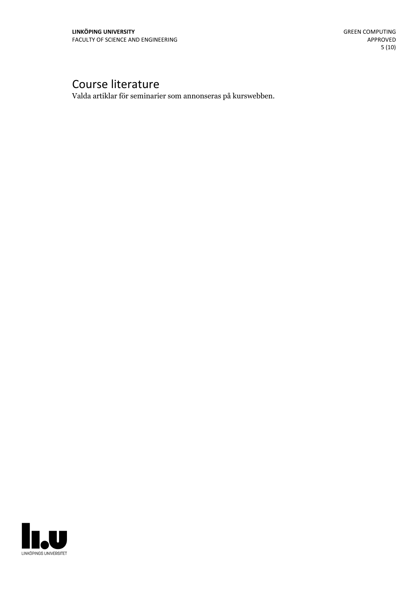# Course literature

Valda artiklar för seminarier som annonseras på kurswebben.

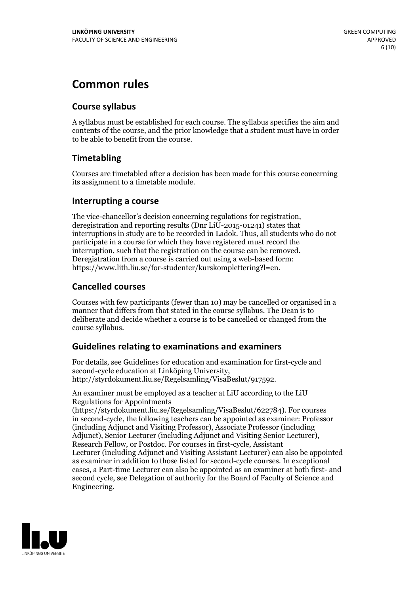# **Common rules**

#### **Course syllabus**

A syllabus must be established for each course. The syllabus specifies the aim and contents of the course, and the prior knowledge that a student must have in order to be able to benefit from the course.

### **Timetabling**

Courses are timetabled after a decision has been made for this course concerning its assignment to a timetable module.

#### **Interrupting a course**

The vice-chancellor's decision concerning regulations for registration, deregistration and reporting results (Dnr LiU-2015-01241) states that interruptions in study are to be recorded in Ladok. Thus, all students who do not participate in a course for which they have registered must record the interruption, such that the registration on the course can be removed. Deregistration from <sup>a</sup> course is carried outusing <sup>a</sup> web-based form: https://www.lith.liu.se/for-studenter/kurskomplettering?l=en.

### **Cancelled courses**

Courses with few participants (fewer than 10) may be cancelled or organised in a manner that differs from that stated in the course syllabus. The Dean is to deliberate and decide whether a course is to be cancelled or changed from the course syllabus.

### **Guidelines relatingto examinations and examiners**

For details, see Guidelines for education and examination for first-cycle and second-cycle education at Linköping University, http://styrdokument.liu.se/Regelsamling/VisaBeslut/917592.

An examiner must be employed as a teacher at LiU according to the LiU Regulations for Appointments

(https://styrdokument.liu.se/Regelsamling/VisaBeslut/622784). For courses in second-cycle, the following teachers can be appointed as examiner: Professor (including Adjunct and Visiting Professor), Associate Professor (including Adjunct), Senior Lecturer (including Adjunct and Visiting Senior Lecturer), Research Fellow, or Postdoc. For courses in first-cycle, Assistant Lecturer (including Adjunct and Visiting Assistant Lecturer) can also be appointed as examiner in addition to those listed for second-cycle courses. In exceptional cases, a Part-time Lecturer can also be appointed as an examiner at both first- and second cycle, see Delegation of authority for the Board of Faculty of Science and Engineering.

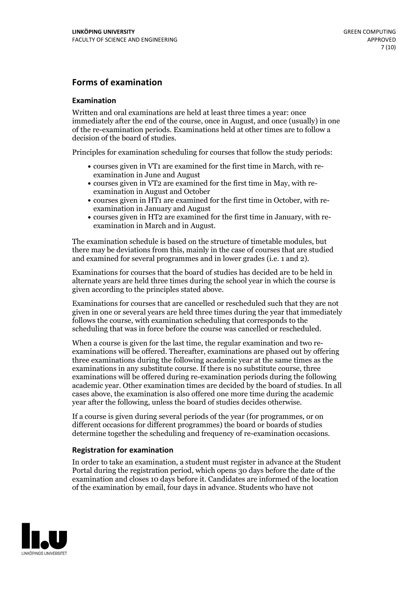#### **Forms of examination**

#### **Examination**

Written and oral examinations are held at least three times a year: once immediately after the end of the course, once in August, and once (usually) in one of the re-examination periods. Examinations held at other times are to follow a decision of the board of studies.

Principles for examination scheduling for courses that follow the study periods:

- courses given in VT1 are examined for the first time in March, with re-examination in June and August
- courses given in VT2 are examined for the first time in May, with re-examination in August and October
- courses given in HT1 are examined for the first time in October, with re-examination in January and August
- courses given in HT2 are examined for the first time in January, with re-examination in March and in August.

The examination schedule is based on the structure of timetable modules, but there may be deviations from this, mainly in the case of courses that are studied and examined for several programmes and in lower grades (i.e. 1 and 2).

Examinations for courses that the board of studies has decided are to be held in alternate years are held three times during the school year in which the course is given according to the principles stated above.

Examinations for courses that are cancelled orrescheduled such that they are not given in one or several years are held three times during the year that immediately follows the course, with examination scheduling that corresponds to the scheduling that was in force before the course was cancelled or rescheduled.

When a course is given for the last time, the regular examination and two re-<br>examinations will be offered. Thereafter, examinations are phased out by offering three examinations during the following academic year at the same times as the examinations in any substitute course. If there is no substitute course, three examinations will be offered during re-examination periods during the following academic year. Other examination times are decided by the board of studies. In all cases above, the examination is also offered one more time during the academic year after the following, unless the board of studies decides otherwise.

If a course is given during several periods of the year (for programmes, or on different occasions for different programmes) the board or boards of studies determine together the scheduling and frequency of re-examination occasions.

#### **Registration for examination**

In order to take an examination, a student must register in advance at the Student Portal during the registration period, which opens 30 days before the date of the examination and closes 10 days before it. Candidates are informed of the location of the examination by email, four days in advance. Students who have not

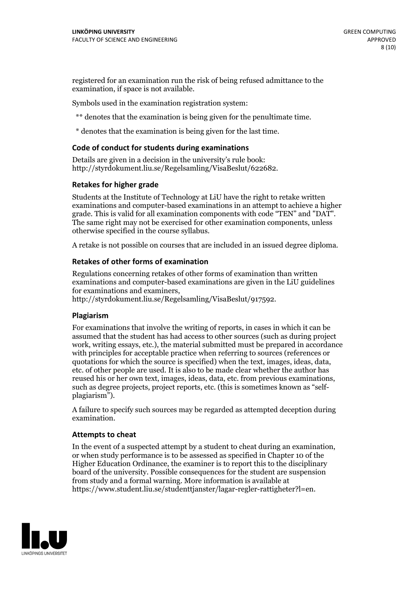registered for an examination run the risk of being refused admittance to the examination, if space is not available.

Symbols used in the examination registration system:

\*\* denotes that the examination is being given for the penultimate time.

\* denotes that the examination is being given for the last time.

#### **Code of conduct for students during examinations**

Details are given in a decision in the university's rule book: http://styrdokument.liu.se/Regelsamling/VisaBeslut/622682.

#### **Retakes for higher grade**

Students at the Institute of Technology at LiU have the right to retake written examinations and computer-based examinations in an attempt to achieve a higher grade. This is valid for all examination components with code "TEN" and "DAT". The same right may not be exercised for other examination components, unless otherwise specified in the course syllabus.

A retake is not possible on courses that are included in an issued degree diploma.

#### **Retakes of other forms of examination**

Regulations concerning retakes of other forms of examination than written examinations and computer-based examinations are given in the LiU guidelines

http://styrdokument.liu.se/Regelsamling/VisaBeslut/917592.

#### **Plagiarism**

For examinations that involve the writing of reports, in cases in which it can be assumed that the student has had access to other sources (such as during project work, writing essays, etc.), the material submitted must be prepared in accordance with principles for acceptable practice when referring to sources (references or quotations for which the source is specified) when the text, images, ideas, data,  $\vec{e}$  etc. of other people are used. It is also to be made clear whether the author has reused his or her own text, images, ideas, data, etc. from previous examinations, such as degree projects, project reports, etc. (this is sometimes known as "self- plagiarism").

A failure to specify such sources may be regarded as attempted deception during examination.

#### **Attempts to cheat**

In the event of <sup>a</sup> suspected attempt by <sup>a</sup> student to cheat during an examination, or when study performance is to be assessed as specified in Chapter <sup>10</sup> of the Higher Education Ordinance, the examiner is to report this to the disciplinary board of the university. Possible consequences for the student are suspension from study and a formal warning. More information is available at https://www.student.liu.se/studenttjanster/lagar-regler-rattigheter?l=en.

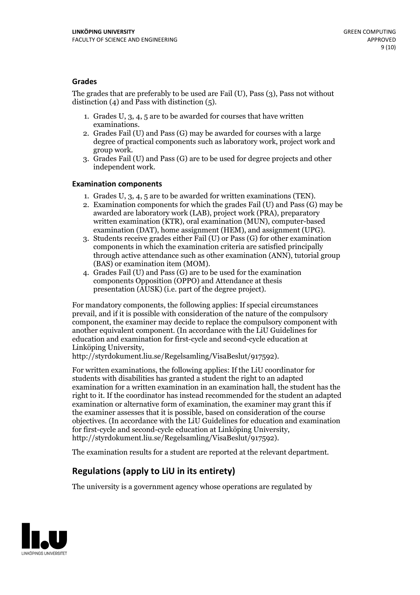#### **Grades**

The grades that are preferably to be used are Fail (U), Pass (3), Pass not without distinction  $(4)$  and Pass with distinction  $(5)$ .

- 1. Grades U, 3, 4, 5 are to be awarded for courses that have written
- examinations. 2. Grades Fail (U) and Pass (G) may be awarded for courses with <sup>a</sup> large degree of practical components such as laboratory work, project work and group work. 3. Grades Fail (U) and Pass (G) are to be used for degree projects and other
- independent work.

#### **Examination components**

- 
- 1. Grades U, 3, 4, <sup>5</sup> are to be awarded for written examinations (TEN). 2. Examination components for which the grades Fail (U) and Pass (G) may be awarded are laboratory work (LAB), project work (PRA), preparatory written examination (KTR), oral examination (MUN), computer-based
- examination (DAT), home assignment (HEM), and assignment (UPG). 3. Students receive grades either Fail (U) or Pass (G) for other examination components in which the examination criteria are satisfied principally through active attendance such as other examination (ANN), tutorial group (BAS) or examination item (MOM). 4. Grades Fail (U) and Pass (G) are to be used for the examination
- components Opposition (OPPO) and Attendance at thesis presentation (AUSK) (i.e. part of the degree project).

For mandatory components, the following applies: If special circumstances prevail, and if it is possible with consideration of the nature of the compulsory component, the examiner may decide to replace the compulsory component with another equivalent component. (In accordance with the LiU Guidelines for education and examination for first-cycle and second-cycle education at Linköping University, http://styrdokument.liu.se/Regelsamling/VisaBeslut/917592).

For written examinations, the following applies: If the LiU coordinator for students with disabilities has granted a student the right to an adapted examination for a written examination in an examination hall, the student has the right to it. If the coordinator has instead recommended for the student an adapted examination or alternative form of examination, the examiner may grant this if the examiner assesses that it is possible, based on consideration of the course objectives. (In accordance with the LiU Guidelines for education and examination for first-cycle and second-cycle education at Linköping University, http://styrdokument.liu.se/Regelsamling/VisaBeslut/917592).

The examination results for a student are reported at the relevant department.

### **Regulations (applyto LiU in its entirety)**

The university is a government agency whose operations are regulated by